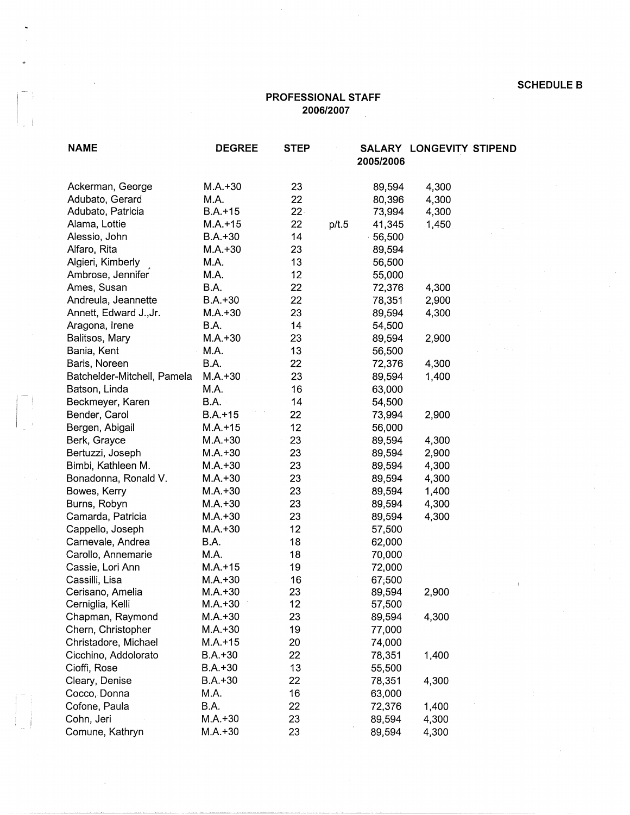## **SCHEDULE B**<br>**PROFESSIONAL STAFF**<br>**2006/2007 2006/2007**

 $\hat{\boldsymbol{\beta}}$ 

| <b>NAME</b>                 | <b>DEGREE</b> | <b>STEP</b> |       | 2005/2006 | SALARY LONGEVITY STIPEND |  |
|-----------------------------|---------------|-------------|-------|-----------|--------------------------|--|
| Ackerman, George            | $M.A. + 30$   | 23          |       | 89,594    | 4,300                    |  |
| Adubato, Gerard             | M.A.          | 22          |       | 80,396    | 4,300                    |  |
| Adubato, Patricia           | $B.A. + 15$   | $22 -$      |       | 73,994    | 4,300                    |  |
| Alama, Lottie               | $M.A.+15$     | 22          | p/t.5 | 41,345    | 1,450                    |  |
| Alessio, John               | $B.A.+30$     | 14          |       | 56,500    |                          |  |
| Alfaro, Rita                | $M.A.+30$     | 23          |       | 89,594    |                          |  |
| Algieri, Kimberly           | M.A.          | 13          |       | 56,500    |                          |  |
| Ambrose, Jennifer           | M.A.          | 12          |       | 55,000    |                          |  |
| Ames, Susan                 | B.A.          | 22          |       | 72,376    | 4,300                    |  |
| Andreula, Jeannette         | $B.A.+30$     | 22          |       | 78,351    | 2,900                    |  |
| Annett, Edward J., Jr.      | $M.A. + 30$   | 23          |       | 89,594    | 4,300                    |  |
| Aragona, Irene              | B.A.          | 14          |       | 54,500    |                          |  |
| Balitsos, Mary              | $M.A. + 30$   | 23          |       | 89,594    | 2,900                    |  |
| Bania, Kent                 | M.A.          | 13          |       | 56,500    |                          |  |
| Baris, Noreen               | B.A.          | 22          |       | 72,376    | 4,300                    |  |
| Batchelder-Mitchell, Pamela | $M.A.+30$     | 23          |       | 89,594    | 1,400                    |  |
| Batson, Linda               | M.A.          | 16          |       | 63,000    |                          |  |
| Beckmeyer, Karen            | B.A.          | 14          |       | 54,500    |                          |  |
| Bender, Carol               | $B.A.+15$     | 22          |       | 73,994    | 2,900                    |  |
| Bergen, Abigail             | $M.A. + 15$   | 12          |       | 56,000    |                          |  |
| Berk, Grayce                | $M.A.+30$     | 23          |       | 89,594    | 4,300                    |  |
| Bertuzzi, Joseph            | $M.A.+30$     | 23          |       | 89,594    | 2,900                    |  |
| Bimbi, Kathleen M.          | $M.A.+30$     | 23          |       | 89,594    | 4,300                    |  |
| Bonadonna, Ronald V.        | $M.A.+30$     | 23          |       | 89,594    | 4,300                    |  |
| Bowes, Kerry                | $M.A.+30$     | 23          |       | 89,594    | 1,400                    |  |
| Burns, Robyn                | $M.A.+30$     | 23          |       | 89,594    | 4,300                    |  |
| Camarda, Patricia           | $M.A. + 30$   | 23          |       | 89,594    | 4,300                    |  |
| Cappello, Joseph            | $M.A. + 30$   | 12          |       | 57,500    |                          |  |
| Carnevale, Andrea           | B.A.          | 18          |       | 62,000    |                          |  |
| Carollo, Annemarie          | M.A.          | 18          |       | 70,000    |                          |  |
| Cassie, Lori Ann            | $M.A.+15$     | 19          |       | 72,000    |                          |  |
| Cassilli, Lisa              | $M.A.+30$     | 16          |       | 67,500    |                          |  |
| Cerisano, Amelia            | $M.A.+30$     | 23          |       | 89,594    | 2,900                    |  |
| Cerniglia, Kelli            | $M.A.+30$     | 12          |       | 57,500    |                          |  |
| Chapman, Raymond            | $M.A.+30$     | 23          |       | 89,594    | 4,300                    |  |
| Chern, Christopher          | $M.A.+30$     | 19          |       | 77,000    |                          |  |
| Christadore, Michael        | $M.A.+15$     | 20          |       | 74,000    |                          |  |
| Cicchino, Addolorato        | $B.A.+30$     | 22          |       | 78,351    | 1,400                    |  |
| Cioffi, Rose                | $B.A.+30$     | 13          |       | 55,500    |                          |  |
| Cleary, Denise              | $B.A.+30$     | 22          |       | 78,351    | 4,300                    |  |
| Cocco, Donna                | M.A.          | 16          |       | 63,000    |                          |  |
| Cofone, Paula               | B.A.          | 22          |       | 72,376    | 1,400                    |  |
| Cohn, Jeri                  | $M.A.+30$     | 23          |       | 89,594    | 4,300                    |  |
| Comune, Kathryn             | $M.A. + 30$   | 23          |       | 89,594    | 4,300                    |  |

 $\overline{\phantom{a}}$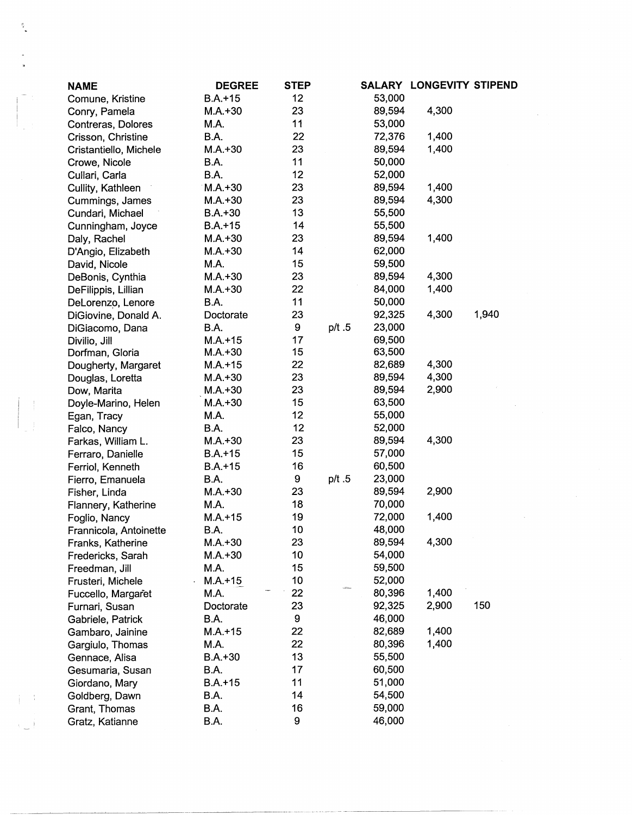| <b>NAME</b>            | <b>DEGREE</b> | <b>STEP</b> |       |        | <b>SALARY LONGEVITY STIPEND</b> |       |
|------------------------|---------------|-------------|-------|--------|---------------------------------|-------|
| Comune, Kristine       | $B.A.+15$     | 12          |       | 53,000 |                                 |       |
| Conry, Pamela          | $M.A.+30$     | 23          |       | 89,594 | 4,300                           |       |
| Contreras, Dolores     | M.A.          | 11          |       | 53,000 |                                 |       |
| Crisson, Christine     | <b>B.A.</b>   | 22          |       | 72,376 | 1,400                           |       |
| Cristantiello, Michele | $M.A.+30$     | 23          |       | 89,594 | 1,400                           |       |
| Crowe, Nicole          | <b>B.A.</b>   | 11          |       | 50,000 |                                 |       |
| Cullari, Carla         | B.A.          | 12          |       | 52,000 |                                 |       |
| Cullity, Kathleen      | $M.A.+30$     | 23          |       | 89,594 | 1,400                           |       |
| Cummings, James        | $M.A.+30$     | 23          |       | 89,594 | 4,300                           |       |
| Cundari, Michael       | $B.A.+30$     | 13          |       | 55,500 |                                 |       |
| Cunningham, Joyce      | $B.A. + 15$   | 14          |       | 55,500 |                                 |       |
| Daly, Rachel           | $M.A.+30$     | 23          |       | 89,594 | 1,400                           |       |
| D'Angio, Elizabeth     | $M.A.+30$     | 14          |       | 62,000 |                                 |       |
| David, Nicole          | M.A.          | 15          |       | 59,500 |                                 |       |
| DeBonis, Cynthia       | $M.A.+30$     | 23          |       | 89,594 | 4,300                           |       |
| DeFilippis, Lillian    | $M.A.+30$     | 22          |       | 84,000 | 1,400                           |       |
| DeLorenzo, Lenore      | B.A.          | 11          |       | 50,000 |                                 |       |
| DiGiovine, Donald A.   | Doctorate     | 23          |       | 92,325 | 4,300                           | 1,940 |
| DiGiacomo, Dana        | B.A.          | 9           | p/t.5 | 23,000 |                                 |       |
| Divilio, Jill          | $M.A.+15$     | 17          |       | 69,500 |                                 |       |
| Dorfman, Gloria        | $M.A.+30$     | 15          |       | 63,500 |                                 |       |
| Dougherty, Margaret    | $M.A.+15$     | 22          |       | 82,689 | 4,300                           |       |
| Douglas, Loretta       | $M.A. + 30$   | 23          |       | 89,594 | 4,300                           |       |
| Dow, Marita            | $M.A.+30$     | 23          |       | 89,594 | 2,900                           |       |
| Doyle-Marino, Helen    | $M.A.+30$     | 15          |       | 63,500 |                                 |       |
| Egan, Tracy            | M.A.          | 12          |       | 55,000 |                                 |       |
| Falco, Nancy           | B.A.          | 12          |       | 52,000 |                                 |       |
| Farkas, William L.     | $M.A.+30$     | 23          |       | 89,594 | 4,300                           |       |
| Ferraro, Danielle      | $B.A.+15$     | 15          |       | 57,000 |                                 |       |
| Ferriol, Kenneth       | $B.A.+15$     | 16          |       | 60,500 |                                 |       |
| Fierro, Emanuela       | <b>B.A.</b>   | 9           | p/t.5 | 23,000 |                                 |       |
| Fisher, Linda          | $M.A.+30$     | 23          |       | 89,594 | 2,900                           |       |
| Flannery, Katherine    | M.A.          | 18          |       | 70,000 |                                 |       |
| Foglio, Nancy          | $M.A.+15$     | 19          |       | 72,000 | 1,400                           |       |
| Frannicola, Antoinette | B.A.          | 10          |       | 48,000 |                                 |       |
| Franks, Katherine      | $M.A.+30$     | 23          |       | 89,594 | 4,300                           |       |
| Fredericks, Sarah      | $M.A.+30$     | 10          |       | 54,000 |                                 |       |
| Freedman, Jill         | M.A.          | 15          |       | 59,500 |                                 |       |
| Frusteri, Michele      | $M.A.+15$     | 10          |       | 52,000 |                                 |       |
| Fuccello, Margaret     | M.A.          | 22          | $-65$ | 80,396 | 1,400                           |       |
| Furnari, Susan         | Doctorate     | 23          |       | 92,325 | 2,900                           | 150   |
| Gabriele, Patrick      | <b>B.A.</b>   | 9           |       | 46,000 |                                 |       |
| Gambaro, Jainine       | $M.A.+15$     | 22          |       | 82,689 | 1,400                           |       |
| Gargiulo, Thomas       | M.A.          | 22          |       | 80,396 | 1,400                           |       |
| Gennace, Alisa         | $B.A.+30$     | 13          |       | 55,500 |                                 |       |
| Gesumaria, Susan       | B.A.          | 17          |       | 60,500 |                                 |       |
| Giordano, Mary         | $B.A. + 15$   | 11          |       | 51,000 |                                 |       |
| Goldberg, Dawn         | B.A.          | 14          |       | 54,500 |                                 |       |
| Grant, Thomas          | <b>B.A.</b>   | 16          |       | 59,000 |                                 |       |
| Gratz, Katianne        | B.A.          | 9           |       | 46,000 |                                 |       |
|                        |               |             |       |        |                                 |       |

 $\frac{\partial}{\partial t}$ 

 $\begin{pmatrix} 1 \\ 1 \\ 1 \end{pmatrix}$ 

 $\pm\pm\mathrm{i}$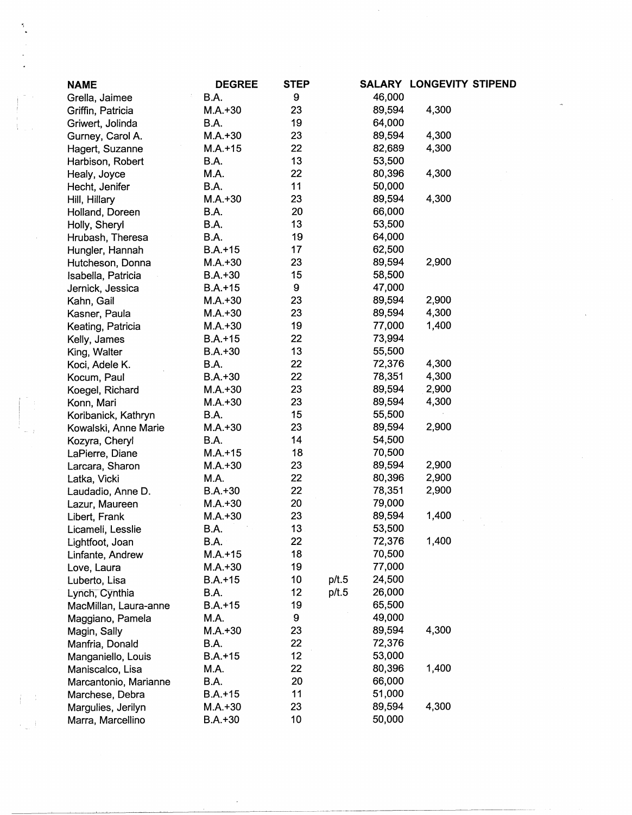| <b>NAME</b>           | <b>DEGREE</b> | <b>STEP</b> |                 | SALARY LONGEVITY STIPEND |
|-----------------------|---------------|-------------|-----------------|--------------------------|
| Grella, Jaimee        | B.A.          | 9           | 46,000          |                          |
| Griffin, Patricia     | $M.A.+30$     | 23          | 89,594          | 4,300                    |
| Griwert, Jolinda      | B.A.          | 19          | 64,000          |                          |
| Gurney, Carol A.      | $M.A.+30$     | 23          | 89,594          | 4,300                    |
| Hagert, Suzanne       | $M.A.+15$     | 22          | 82,689          | 4,300                    |
| Harbison, Robert      | B.A.          | 13          | 53,500          |                          |
| Healy, Joyce          | M.A.          | 22          | 80,396          | 4,300                    |
| Hecht, Jenifer        | <b>B.A.</b>   | 11          | 50,000          |                          |
| Hill, Hillary         | $M.A.+30$     | 23          | 89,594          | 4,300                    |
| Holland, Doreen       | B.A.          | 20          | 66,000          |                          |
| Holly, Sheryl         | B.A.          | 13          | 53,500          |                          |
| Hrubash, Theresa      | B.A.          | 19          | 64,000          |                          |
| Hungler, Hannah       | $B.A. + 15$   | 17          | 62,500          |                          |
| Hutcheson, Donna      | $M.A.+30$     | 23          | 89,594          | 2,900                    |
| Isabella, Patricia    | $B.A.+30$     | 15          | 58,500          |                          |
| Jernick, Jessica      | $B.A.+15$     | 9           | 47,000          |                          |
| Kahn, Gail            | M.A.+30       | 23          | 89,594          | 2,900                    |
| Kasner, Paula         | $M.A.+30$     | 23          | 89,594          | 4,300                    |
| Keating, Patricia     | $M.A.+30$     | 19          | 77,000          | 1,400                    |
| Kelly, James          | $B.A.+15$     | 22          | 73,994          |                          |
| King, Walter          | $B.A.+30$     | 13          | 55,500          |                          |
| Koci, Adele K.        | B.A.          | 22          | 72,376          | 4,300                    |
| Kocum, Paul           | $B.A.+30$     | 22          | 78,351          | 4,300                    |
| Koegel, Richard       | $M.A.+30$     | 23          | 89,594          | 2,900                    |
|                       | $M.A.+30$     | 23          | 89,594          | 4,300                    |
| Konn, Mari            | B.A.          | 15          | 55,500          |                          |
| Koribanick, Kathryn   | $M.A.+30$     | 23          | 89,594          | 2,900                    |
| Kowalski, Anne Marie  | B.A.          | 14          | 54,500          |                          |
| Kozyra, Cheryl        | $M.A.+15$     | 18          | 70,500          |                          |
| LaPierre, Diane       |               | 23          | 89,594          | 2,900                    |
| Larcara, Sharon       | $M.A.+30$     | 22          | 80,396          | 2,900                    |
| Latka, Vicki          | M.A.          | 22          | 78,351          | 2,900                    |
| Laudadio, Anne D.     | $B.A.+30$     | 20          | 79,000          |                          |
| Lazur, Maureen        | $M.A.+30$     | 23          | 89,594          | 1,400                    |
| Libert, Frank         | $M.A.+30$     | 13          | 53,500          |                          |
| Licameli, Lesslie     | B.A.          |             |                 | 1,400                    |
| Lightfoot, Joan       | B.A.          | 22          | 72,376          |                          |
| Linfante, Andrew      | $M.A.+15$     | 18          | 70,500          |                          |
| Love, Laura           | $M.A.+30$     | 19          | 77,000          |                          |
| Luberto, Lisa         | $B.A.+15$     | 10          | 24,500<br>p/t.5 |                          |
| Lynch, Cynthia        | B.A.          | 12          | 26,000<br>p/t.5 |                          |
| MacMillan, Laura-anne | $B.A.+15$     | 19          | 65,500          |                          |
| Maggiano, Pamela      | M.A.          | 9           | 49,000          |                          |
| Magin, Sally          | $M.A.+30$     | 23          | 89,594          | 4,300                    |
| Manfria, Donald       | B.A.          | 22          | 72,376          |                          |
| Manganiello, Louis    | $B.A.+15$     | 12          | 53,000          |                          |
| Maniscalco, Lisa      | M.A.          | 22          | 80,396          | 1,400                    |
| Marcantonio, Marianne | B.A.          | 20          | 66,000          |                          |
| Marchese, Debra       | $B.A.+15$     | 11          | 51,000          |                          |
| Margulies, Jerilyn    | $M.A.+30$     | 23          | 89,594          | 4,300                    |
| Marra, Marcellino     | $B.A.+30$     | 10          | 50,000          |                          |

 $\mathcal{A}$ 

 $\label{eq:2} \frac{1}{\sqrt{2}}\int_{-\infty}^{\infty} \frac{1}{\sqrt{2\pi}}\,dx$ 

 $\mathcal{A}_{\mathcal{A}}$ 

 $\hat{\theta}$ 

 $\label{eq:1} \frac{1}{\sqrt{2}}\sum_{i=1}^n\frac{1}{\sqrt{2}}\sum_{i=1}^n\frac{1}{\sqrt{2}}\sum_{i=1}^n\frac{1}{\sqrt{2}}\sum_{i=1}^n\frac{1}{\sqrt{2}}\sum_{i=1}^n\frac{1}{\sqrt{2}}\sum_{i=1}^n\frac{1}{\sqrt{2}}\sum_{i=1}^n\frac{1}{\sqrt{2}}\sum_{i=1}^n\frac{1}{\sqrt{2}}\sum_{i=1}^n\frac{1}{\sqrt{2}}\sum_{i=1}^n\frac{1}{\sqrt{2}}\sum_{i=1}^n\frac{1$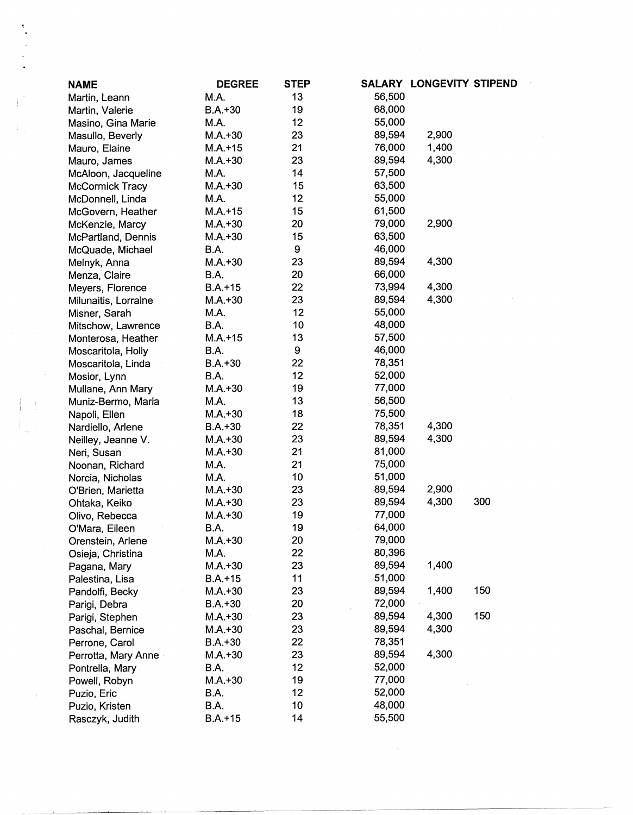| <b>NAME</b>            | <b>DEGREE</b> | <b>STEP</b> |        | SALARY LONGEVITY STIPEND |     |
|------------------------|---------------|-------------|--------|--------------------------|-----|
| Martin, Leann          | M.A.          | 13          | 56,500 |                          |     |
| Martin, Valerie        | $B.A. + 30$   | 19          | 68,000 |                          |     |
| Masino, Gina Marie     | M.A.          | 12          | 55,000 |                          |     |
| Masullo, Beverly       | $M.A.+30$     | 23          | 89,594 | 2,900                    |     |
| Mauro, Elaine          | $M.A. + 15$   | 21          | 76,000 | 1,400                    |     |
| Mauro, James           | $M.A.+30$     | 23          | 89,594 | 4,300                    |     |
| McAloon, Jacqueline    | M.A.          | 14          | 57,500 |                          |     |
| <b>McCormick Tracy</b> | $M.A. + 30$   | 15          | 63,500 |                          |     |
| McDonnell, Linda       | M.A.          | 12          | 55,000 |                          |     |
| McGovern, Heather      | $M.A.+15$     | 15          | 61,500 |                          |     |
| McKenzie, Marcy        | $M.A.+30$     | 20          | 79,000 | 2,900                    |     |
| McPartland, Dennis     | $M.A. + 30$   | 15          | 63,500 |                          |     |
| McQuade, Michael       | B.A.          | 9           | 46,000 |                          |     |
| Melnyk, Anna           | $M.A.+30$     | 23          | 89,594 | 4,300                    |     |
| Menza, Claire          | B.A.          | 20          | 66,000 |                          |     |
| Meyers, Florence       | $B.A.+15$     | 22          | 73,994 | 4,300                    |     |
| Milunaitis, Lorraine   | $M.A.+30$     | 23          | 89,594 | 4,300                    |     |
| Misner, Sarah          | M.A.          | 12          | 55,000 |                          |     |
| Mitschow, Lawrence     | B.A.          | 10          | 48,000 |                          |     |
| Monterosa, Heather     | $M.A. + 15$   | 13          | 57,500 |                          |     |
| Moscaritola, Holly     | B.A.          | 9           | 46,000 |                          |     |
| Moscaritola, Linda     | $B.A.+30$     | 22          | 78,351 |                          |     |
| Mosior, Lynn           | B.A.          | 12          | 52,000 |                          |     |
| Mullane, Ann Mary      | $M.A.+30$     | 19          | 77,000 |                          |     |
| Muniz-Bermo, Maria     | M.A.          | 13          | 56,500 |                          |     |
| Napoli, Ellen          | $M.A.+30$     | 18          | 75,500 |                          |     |
| Nardiello, Arlene      | $B.A.+30$     | 22          | 78,351 | 4,300                    |     |
| Neilley, Jeanne V.     | $M.A.+30$     | 23          | 89,594 | 4,300                    |     |
| Neri, Susan            | $M.A.+30$     | 21          | 81,000 |                          |     |
| Noonan, Richard        | M.A.          | 21          | 75,000 |                          |     |
| Norcia, Nicholas       | M.A.          | 10          | 51,000 |                          |     |
| O'Brien, Marietta      | $M.A.+30$     | 23          | 89,594 | 2,900                    |     |
| Ohtaka, Keiko          | $M.A.+30$     | 23          | 89,594 | 4,300                    | 300 |
| Olivo, Rebecca         | $M.A.+30$     | 19          | 77,000 |                          |     |
| O'Mara, Eileen         | B.A.          | 19          | 64,000 |                          |     |
| Orenstein, Arlene      | $M.A.+30$     | 20          | 79,000 |                          |     |
| Osieja, Christina      | M.A.          | 22          | 80,396 |                          |     |
| Pagana, Mary           | $M.A.+30$     | 23          | 89,594 | 1,400                    |     |
| Palestina, Lisa        | $B.A. + 15$   | 11          | 51,000 |                          |     |
| Pandolfi, Becky        | $M.A.+30$     | 23          | 89,594 | 1,400                    | 150 |
| Parigi, Debra          | $B.A.+30$     | 20          | 72,000 |                          |     |
| Parigi, Stephen        | $M.A.+30$     | 23          | 89,594 | 4,300                    | 150 |
| Paschal, Bernice       | $M.A.+30$     | 23          | 89,594 | 4,300                    |     |
| Perrone, Carol         | $B.A.+30$     | 22          | 78,351 |                          |     |
| Perrotta, Mary Anne    | $M.A.+30$     | 23          | 89,594 | 4,300                    |     |
| Pontrella, Mary        | B.A.          | 12          | 52,000 |                          |     |
| Powell, Robyn          | $M.A.+30$     | 19          | 77,000 |                          |     |
| Puzio, Eric            | B.A.          | 12          | 52,000 |                          |     |
| Puzio, Kristen         | B.A.          | 10          | 48,000 |                          |     |
| Rasczyk, Judith        | $B.A.+15$     | 14          | 55,500 |                          |     |

 $\label{eq:2.1} \frac{1}{\left\| \left( \frac{1}{\sqrt{2}} \right)^2 \right\|} \leq \frac{1}{\sqrt{2}} \sum_{i=1}^{\infty} \frac{1}{\sqrt{2}} \left( \frac{1}{\sqrt{2}} \right)^2 \leq \frac{1}{\sqrt{2}} \sum_{i=1}^{\infty} \frac{1}{\sqrt{2}} \left( \frac{1}{\sqrt{2}} \right)^2 \leq \frac{1}{\sqrt{2}} \sum_{i=1}^{\infty} \frac{1}{\sqrt{2}} \left( \frac{1}{\sqrt{2}} \right)^2 \leq \frac{1}{\sqrt{2}} \sum_{i=1}^{\infty$ 

 $\mathbb{E}^2$ 

 $\mathcal{A}_{\mathcal{A}}$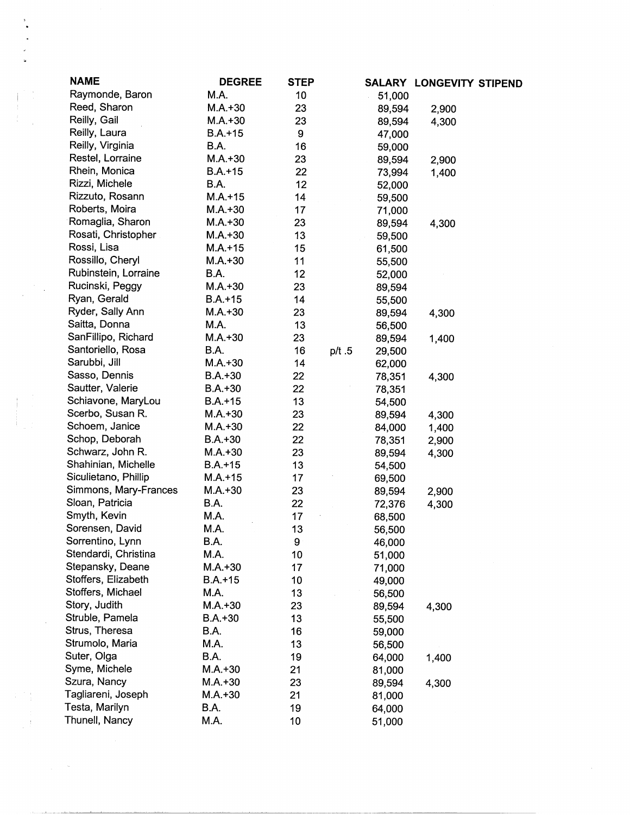| <b>NAME</b>           | <b>DEGREE</b> | <b>STEP</b> |       |        | SALARY LONGEVITY STIPEND |  |
|-----------------------|---------------|-------------|-------|--------|--------------------------|--|
| Raymonde, Baron       | M.A.          | 10          |       | 51,000 |                          |  |
| Reed, Sharon          | $M.A.+30$     | 23          |       | 89,594 | 2,900                    |  |
| Reilly, Gail          | $M.A.+30$     | 23          |       | 89,594 | 4,300                    |  |
| Reilly, Laura         | $B.A. + 15$   | 9           |       | 47,000 |                          |  |
| Reilly, Virginia      | B.A.          | 16          |       | 59,000 |                          |  |
| Restel, Lorraine      | $M.A.+30$     | 23          |       | 89,594 | 2,900                    |  |
| Rhein, Monica         | $B.A.+15$     | 22          |       | 73,994 | 1,400                    |  |
| Rizzi, Michele        | B.A.          | 12          |       | 52,000 |                          |  |
| Rizzuto, Rosann       | $M.A. + 15$   | 14          |       | 59,500 |                          |  |
| Roberts, Moira        | $M.A.+30$     | 17          |       | 71,000 |                          |  |
| Romaglia, Sharon      | $M.A. + 30$   | 23          |       | 89,594 | 4,300                    |  |
| Rosati, Christopher   | $M.A.+30$     | 13          |       | 59,500 |                          |  |
| Rossi, Lisa           | $M.A.+15$     | 15          |       | 61,500 |                          |  |
| Rossillo, Cheryl      | $M.A.+30$     | 11          |       | 55,500 |                          |  |
| Rubinstein, Lorraine  | B.A.          | 12          |       | 52,000 |                          |  |
| Rucinski, Peggy       | $M.A.+30$     | 23          |       | 89,594 |                          |  |
| Ryan, Gerald          | $B.A. + 15$   | 14          |       | 55,500 |                          |  |
| Ryder, Sally Ann      | $M.A. + 30$   | 23          |       | 89,594 | 4,300                    |  |
| Saitta, Donna         | M.A.          | 13          |       | 56,500 |                          |  |
| SanFillipo, Richard   | $M.A. + 30$   | 23          |       | 89,594 | 1,400                    |  |
| Santoriello, Rosa     | B.A.          | 16          | p/t.5 | 29,500 |                          |  |
| Sarubbi, Jill         | $M.A. + 30$   | 14          |       | 62,000 |                          |  |
| Sasso, Dennis         | $B.A.+30$     | 22          |       | 78,351 | 4,300                    |  |
| Sautter, Valerie      | $B.A.+30$     | 22          |       | 78,351 |                          |  |
| Schiavone, MaryLou    | $B.A.+15$     | 13          |       | 54,500 |                          |  |
| Scerbo, Susan R.      | $M.A. + 30$   | 23          |       | 89,594 | 4,300                    |  |
| Schoem, Janice        | $M.A.+30$     | 22          |       | 84,000 | 1,400                    |  |
| Schop, Deborah        | $B.A.+30$     | 22          |       | 78,351 | 2,900                    |  |
| Schwarz, John R.      | $M.A.+30$     | 23          |       | 89,594 | 4,300                    |  |
| Shahinian, Michelle   | $B.A.+15$     | 13          |       | 54,500 |                          |  |
| Siculietano, Phillip  | $M.A. + 15$   | 17          |       | 69,500 |                          |  |
| Simmons, Mary-Frances | $M.A. + 30$   | 23          |       | 89,594 | 2,900                    |  |
| Sloan, Patricia       | <b>B.A.</b>   | 22          |       | 72,376 | 4,300                    |  |
| Smyth, Kevin          | M.A.          | 17          |       | 68,500 |                          |  |
| Sorensen, David       | M.A.          | 13          |       | 56,500 |                          |  |
| Sorrentino, Lynn      | B.A.          | 9           |       | 46,000 |                          |  |
| Stendardi, Christina  | M.A.          | 10          |       | 51,000 |                          |  |
| Stepansky, Deane      | $M.A.+30$     | 17          |       | 71,000 |                          |  |
| Stoffers, Elizabeth   | $B.A.+15$     | 10          |       | 49,000 |                          |  |
| Stoffers, Michael     | M.A.          | 13          |       | 56,500 |                          |  |
| Story, Judith         | $M.A.+30$     | 23          |       | 89,594 | 4,300                    |  |
| Struble, Pamela       | $B.A.+30$     | 13          |       | 55,500 |                          |  |
| Strus, Theresa        | B.A.          | 16          |       | 59,000 |                          |  |
| Strumolo, Maria       | M.A.          | 13          |       | 56,500 |                          |  |
| Suter, Olga           | B.A.          | 19          |       | 64,000 | 1,400                    |  |
| Syme, Michele         | $M.A. + 30$   | 21          |       | 81,000 |                          |  |
| Szura, Nancy          | $M.A.+30$     | 23          |       | 89,594 | 4,300                    |  |
| Tagliareni, Joseph    | $M.A. + 30$   | 21          |       | 81,000 |                          |  |
| Testa, Marilyn        | B.A.          | 19          |       | 64,000 |                          |  |
| Thunell, Nancy        | M.A.          | 10          |       | 51,000 |                          |  |

 $\mathcal{A}^{(1)}$ 

 $\begin{aligned} \mathbf{y} & = \mathbf{y} \cdot \mathbf{y} \\ & = \frac{1}{2} \mathbf{y} \cdot \mathbf{y} \\ & = \frac{1}{2} \mathbf{y} \cdot \mathbf{y} \\ & = \frac{1}{2} \mathbf{y} \cdot \mathbf{y} \\ & = \frac{1}{2} \mathbf{y} \cdot \mathbf{y} \\ & = \frac{1}{2} \mathbf{y} \cdot \mathbf{y} \\ & = \frac{1}{2} \mathbf{y} \cdot \mathbf{y} \\ & = \frac{1}{2} \mathbf{y} \cdot \mathbf{y} \\ & = \frac{1}{2} \mathbf{y} \cdot \mathbf{y} \\$ 

 $\label{eq:2} \frac{1}{\sqrt{2}}\left(\frac{1}{\sqrt{2}}\right)^{2} \left(\frac{1}{\sqrt{2}}\right)^{2} \left(\frac{1}{\sqrt{2}}\right)^{2} \left(\frac{1}{\sqrt{2}}\right)^{2}$